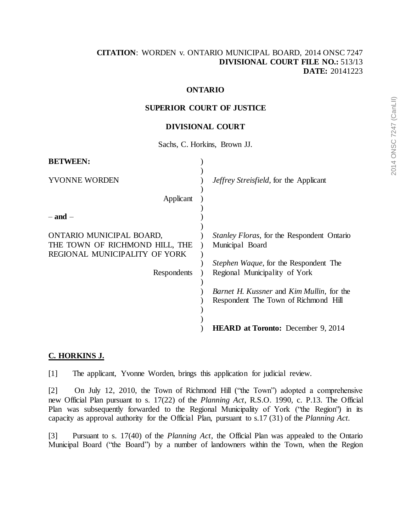## **[CITATION](http://intra.judicialsecurity.jus.gov.on.ca/NeutralCitation/)**: WORDEN v. ONTARIO MUNICIPAL BOARD, 2014 ONSC 7247 **DIVISIONAL COURT FILE NO.:** 513/13 **DATE:** 20141223

# **ONTARIO**

#### **SUPERIOR COURT OF JUSTICE**

#### **DIVISIONAL COURT**

Sachs, C. Horkins, Brown JJ.

| <b>BETWEEN:</b>                                                                                            |                                                                                                                                                        |
|------------------------------------------------------------------------------------------------------------|--------------------------------------------------------------------------------------------------------------------------------------------------------|
| YVONNE WORDEN                                                                                              | <i>Jeffrey Streisfield</i> , for the Applicant                                                                                                         |
| Applicant                                                                                                  |                                                                                                                                                        |
| – and –                                                                                                    |                                                                                                                                                        |
| ONTARIO MUNICIPAL BOARD,<br>THE TOWN OF RICHMOND HILL, THE<br>REGIONAL MUNICIPALITY OF YORK<br>Respondents | <i>Stanley Floras, for the Respondent Ontario</i><br>Municipal Board<br><i>Stephen Waque</i> , for the Respondent The<br>Regional Municipality of York |
|                                                                                                            | <i>Barnet H. Kussner</i> and <i>Kim Mullin</i> , for the<br>Respondent The Town of Richmond Hill                                                       |
|                                                                                                            | <b>HEARD at Toronto:</b> December 9, 2014                                                                                                              |

## **C. HORKINS J.**

[1] The applicant, Yvonne Worden, brings this application for judicial review.

[2] On July 12, 2010, the Town of Richmond Hill ("the Town") adopted a comprehensive new Official Plan pursuant to s. 17(22) of the *Planning Act*, R.S.O. 1990, c. P.13. The Official Plan was subsequently forwarded to the Regional Municipality of York ("the Region") in its capacity as approval authority for the Official Plan, pursuant to s.17 (31) of the *Planning Act.*

[3] Pursuant to s. 17(40) of the *Planning Act*, the Official Plan was appealed to the Ontario Municipal Board ("the Board") by a number of landowners within the Town, when the Region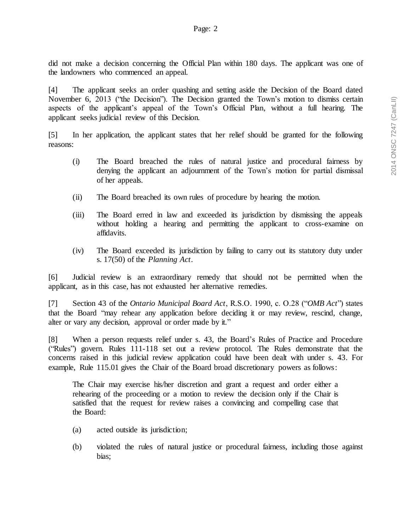did not make a decision concerning the Official Plan within 180 days. The applicant was one of the landowners who commenced an appeal.

[4] The applicant seeks an order quashing and setting aside the Decision of the Board dated November 6, 2013 ("the Decision"). The Decision granted the Town's motion to dismiss certain aspects of the applicant's appeal of the Town's Official Plan, without a full hearing. The applicant seeks judicial review of this Decision.

[5] In her application, the applicant states that her relief should be granted for the following reasons:

- (i) The Board breached the rules of natural justice and procedural fairness by denying the applicant an adjournment of the Town's motion for partial dismissal of her appeals.
- (ii) The Board breached its own rules of procedure by hearing the motion.
- (iii) The Board erred in law and exceeded its jurisdiction by dismissing the appeals without holding a hearing and permitting the applicant to cross-examine on affidavits.
- (iv) The Board exceeded its jurisdiction by failing to carry out its statutory duty under s. 17(50) of the *Planning Act*.

[6] Judicial review is an extraordinary remedy that should not be permitted when the applicant, as in this case, has not exhausted her alternative remedies.

[7] Section 43 of the *Ontario Municipal Board Act*, R.S.O. 1990, c. O.28 ("*OMB Act*") states that the Board "may rehear any application before deciding it or may review, rescind, change, alter or vary any decision, approval or order made by it."

[8] When a person requests relief under s. 43, the Board's Rules of Practice and Procedure ("Rules") govern. Rules 111-118 set out a review protocol. The Rules demonstrate that the concerns raised in this judicial review application could have been dealt with under s. 43. For example, Rule 115.01 gives the Chair of the Board broad discretionary powers as follows:

The Chair may exercise his/her discretion and grant a request and order either a rehearing of the proceeding or a motion to review the decision only if the Chair is satisfied that the request for review raises a convincing and compelling case that the Board:

- (a) acted outside its jurisdiction;
- (b) violated the rules of natural justice or procedural fairness, including those against bias;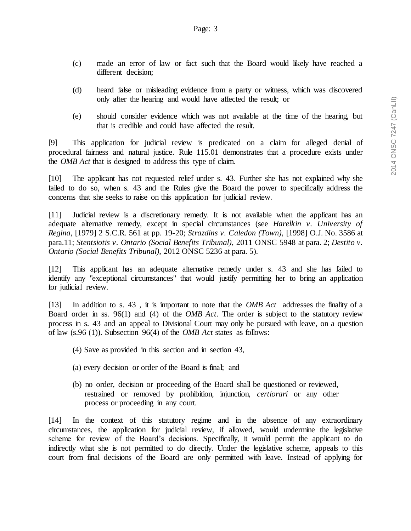- (c) made an error of law or fact such that the Board would likely have reached a different decision;
- (d) heard false or misleading evidence from a party or witness, which was discovered only after the hearing and would have affected the result; or
- (e) should consider evidence which was not available at the time of the hearing, but that is credible and could have affected the result.

[9] This application for judicial review is predicated on a claim for alleged denial of procedural fairness and natural justice. Rule 115.01 demonstrates that a procedure exists under the *OMB Act* that is designed to address this type of claim.

[10] The applicant has not requested relief under s. 43. Further she has not explained why she failed to do so, when s. 43 and the Rules give the Board the power to specifically address the concerns that she seeks to raise on this application for judicial review.

[11] Judicial review is a discretionary remedy. It is not available when the applicant has an adequate alternative remedy, except in special circumstances (see *Harelkin v. University of Regina*, [1979] 2 S.C.R. 561 at pp. 19-20; *Strazdins v. Caledon (Town)*, [1998] O.J. No. 3586 at para.11; *Stentsiotis v. Ontario (Social Benefits Tribunal)*, 2011 ONSC 5948 at para. 2; *Destito v. Ontario (Social Benefits Tribunal)*, 2012 ONSC 5236 at para. 5).

[12] This applicant has an adequate alternative remedy under s. 43 and she has failed to identify any "exceptional circumstances" that would justify permitting her to bring an application for judicial review.

[13] In addition to s. 43 , it is important to note that the *OMB Act* addresses the finality of a Board order in ss. 96(1) and (4) of the *OMB Act*. The order is subject to the statutory review process in s. 43 and an appeal to Divisional Court may only be pursued with leave, on a question of law (s.96 (1)). Subsection 96(4) of the *OMB Act* states as follows:

- (4) Save as provided in this section and in section 43,
- (a) every decision or order of the Board is final; and
- (b) no order, decision or proceeding of the Board shall be questioned or reviewed, restrained or removed by prohibition, injunction, *certiorari* or any other process or proceeding in any court.

[14] In the context of this statutory regime and in the absence of any extraordinary circumstances, the application for judicial review, if allowed, would undermine the legislative scheme for review of the Board's decisions. Specifically, it would permit the applicant to do indirectly what she is not permitted to do directly. Under the legislative scheme, appeals to this court from final decisions of the Board are only permitted with leave. Instead of applying for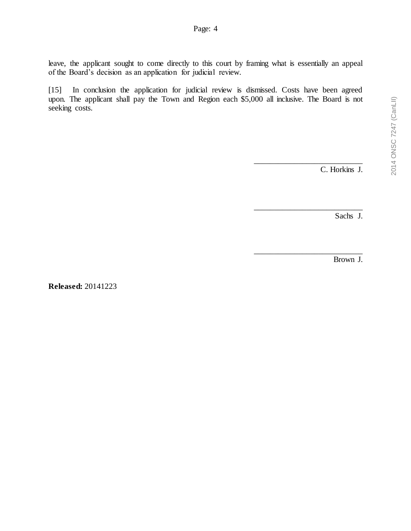leave, the applicant sought to come directly to this court by framing what is essentially an appeal of the Board's decision as an application for judicial review.

[15] In conclusion the application for judicial review is dismissed. Costs have been agreed upon. The applicant shall pay the Town and Region each \$5,000 all inclusive. The Board is not seeking costs.

C. Horkins J.

\_\_\_\_\_\_\_\_\_\_\_\_\_\_\_\_\_\_\_\_\_\_\_\_\_\_\_

\_\_\_\_\_\_\_\_\_\_\_\_\_\_\_\_\_\_\_\_\_\_\_\_\_\_\_

Sachs J.

\_\_\_\_\_\_\_\_\_\_\_\_\_\_\_\_\_\_\_\_\_\_\_\_\_\_\_ Brown J.

**Released:** 20141223